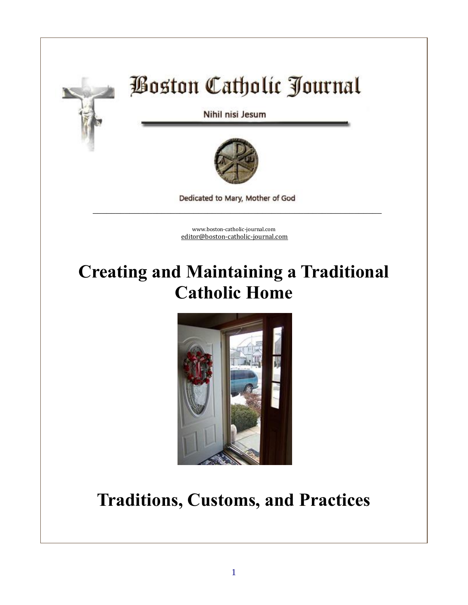

## **Boston Catholic Journal**

Nihil nisi Jesum



Dedicated to Mary, Mother of God \_\_\_\_\_\_\_\_\_\_\_\_\_\_\_\_\_\_\_\_\_\_\_\_\_\_\_\_\_\_\_\_\_\_\_\_\_\_\_\_\_\_\_\_\_\_\_\_\_\_\_\_\_\_\_\_\_\_\_\_\_\_\_

> [www.boston-catholic-journal.com](http://www.boston-catholic-journal.com/) [editor@boston-catholic-journal.com](mailto:editor@boston-catholic-journal.com)

## **Creating and Maintaining a Traditional Catholic Home**



## **Traditions, Customs, and Practices**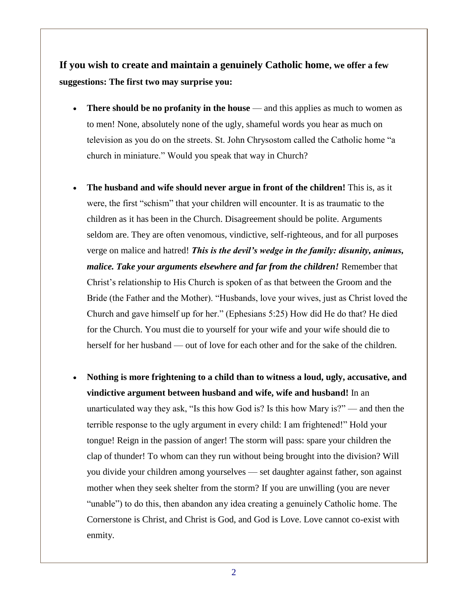**If you wish to create and maintain a genuinely Catholic home, we offer a few suggestions: The first two may surprise you:**

- **There should be no profanity in the house** and this applies as much to women as to men! None, absolutely none of the ugly, shameful words you hear as much on television as you do on the streets. St. John Chrysostom called the Catholic home "a church in miniature." Would you speak that way in Church?
- **The husband and wife should never argue in front of the children!** This is, as it were, the first "schism" that your children will encounter. It is as traumatic to the children as it has been in the Church. Disagreement should be polite. Arguments seldom are. They are often venomous, vindictive, self-righteous, and for all purposes verge on malice and hatred! *This is the devil's wedge in the family: disunity, animus, malice. Take your arguments elsewhere and far from the children!* Remember that Christ's relationship to His Church is spoken of as that between the Groom and the Bride (the Father and the Mother). "Husbands, love your wives, just as Christ loved the Church and gave himself up for her." (Ephesians 5:25) How did He do that? He died for the Church. You must die to yourself for your wife and your wife should die to herself for her husband — out of love for each other and for the sake of the children.
- **Nothing is more frightening to a child than to witness a loud, ugly, accusative, and vindictive argument between husband and wife, wife and husband!** In an unarticulated way they ask, "Is this how God is? Is this how Mary is?" — and then the terrible response to the ugly argument in every child: I am frightened!" Hold your tongue! Reign in the passion of anger! The storm will pass: spare your children the clap of thunder! To whom can they run without being brought into the division? Will you divide your children among yourselves — set daughter against father, son against mother when they seek shelter from the storm? If you are unwilling (you are never "unable") to do this, then abandon any idea creating a genuinely Catholic home. The Cornerstone is Christ, and Christ is God, and God is Love. Love cannot co-exist with enmity.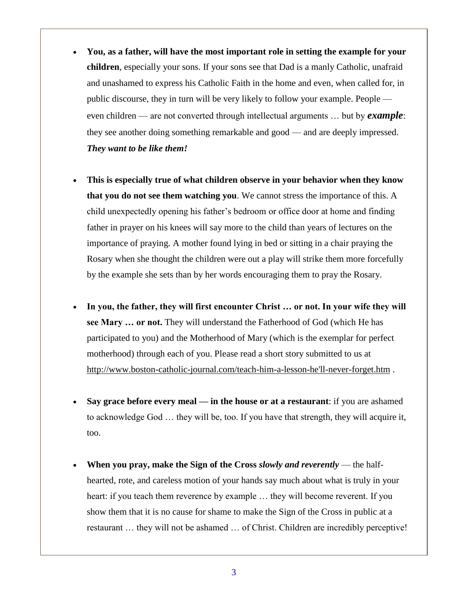- **You, as a father, will have the most important role in setting the example for your children**, especially your sons. If your sons see that Dad is a manly Catholic, unafraid and unashamed to express his Catholic Faith in the home and even, when called for, in public discourse, they in turn will be very likely to follow your example. People even children — are not converted through intellectual arguments … but by *example*: they see another doing something remarkable and good — and are deeply impressed. *They want to be like them!*
- **This is especially true of what children observe in your behavior when they know that you do not see them watching you**. We cannot stress the importance of this. A child unexpectedly opening his father's bedroom or office door at home and finding father in prayer on his knees will say more to the child than years of lectures on the importance of praying. A mother found lying in bed or sitting in a chair praying the Rosary when she thought the children were out a play will strike them more forcefully by the example she sets than by her words encouraging them to pray the Rosary.
- **In you, the father, they will first encounter Christ … or not. In your wife they will see Mary … or not.** They will understand the Fatherhood of God (which He has participated to you) and the Motherhood of Mary (which is the exemplar for perfect motherhood) through each of you. Please read a short story submitted to us at [http://www.boston-catholic-journal.com/teach-him-a-lesson-he'll-never-forget.htm](http://www.boston-catholic-journal.com/teach-him-a-lesson-he) .
- **Say grace before every meal — in the house or at a restaurant**: if you are ashamed to acknowledge God … they will be, too. If you have that strength, they will acquire it, too.
- **When you pray, make the Sign of the Cross** *slowly and reverently* the halfhearted, rote, and careless motion of your hands say much about what is truly in your heart: if you teach them reverence by example … they will become reverent. If you show them that it is no cause for shame to make the Sign of the Cross in public at a restaurant … they will not be ashamed … of Christ. Children are incredibly perceptive!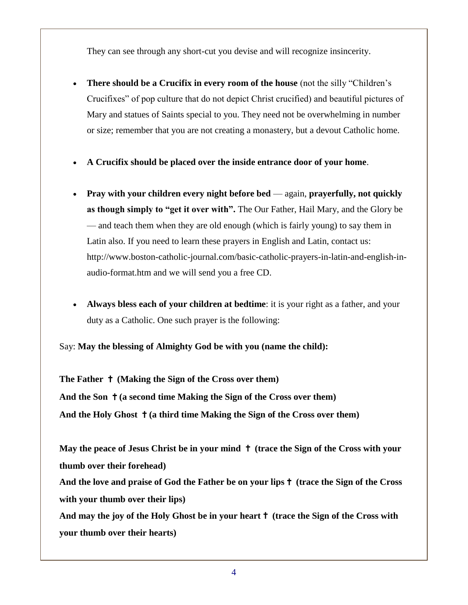They can see through any short-cut you devise and will recognize insincerity.

- **There should be a Crucifix in every room of the house** (not the silly "Children's Crucifixes" of pop culture that do not depict Christ crucified) and beautiful pictures of Mary and statues of Saints special to you. They need not be overwhelming in number or size; remember that you are not creating a monastery, but a devout Catholic home.
- **A Crucifix should be placed over the inside entrance door of your home**.
- **Pray with your children every night before bed** again, **prayerfully, not quickly as though simply to "get it over with".** The Our Father, Hail Mary, and the Glory be — and teach them when they are old enough (which is fairly young) to say them in Latin also. If you need to learn these prayers in English and Latin, contact us: http://www.boston-catholic-journal.com/basic-catholic-prayers-in-latin-and-english-inaudio-format.htm and we will send you a free CD.
- **Always bless each of your children at bedtime**: it is your right as a father, and your duty as a Catholic. One such prayer is the following:

Say: **May the blessing of Almighty God be with you (name the child):**

**The Father** ✝ **(Making the Sign of the Cross over them) And the Son** ✝**(a second time Making the Sign of the Cross over them) And the Holy Ghost** ✝**(a third time Making the Sign of the Cross over them)**

**May the peace of Jesus Christ be in your mind** ✝ **(trace the Sign of the Cross with your thumb over their forehead) And the love and praise of God the Father be on your lips**✝ **(trace the Sign of the Cross with your thumb over their lips) And may the joy of the Holy Ghost be in your heart**✝ **(trace the Sign of the Cross with your thumb over their hearts)**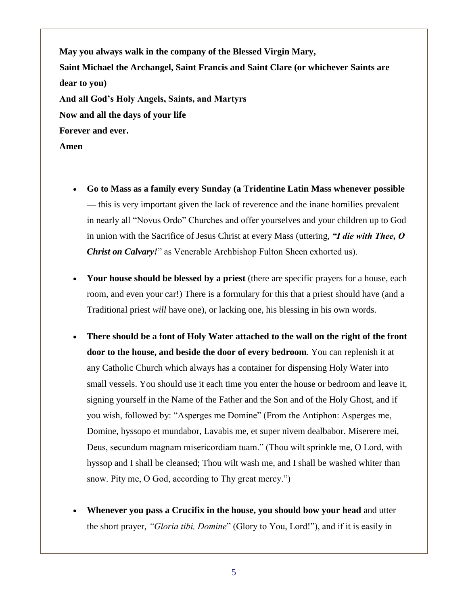**May you always walk in the company of the Blessed Virgin Mary, Saint Michael the Archangel, Saint Francis and Saint Clare (or whichever Saints are dear to you) And all God's Holy Angels, Saints, and Martyrs Now and all the days of your life Forever and ever. Amen**

- **Go to Mass as a family every Sunday (a Tridentine Latin Mass whenever possible —** this is very important given the lack of reverence and the inane homilies prevalent in nearly all "Novus Ordo" Churches and offer yourselves and your children up to God in union with the Sacrifice of Jesus Christ at every Mass (uttering, *"I die with Thee, O Christ on Calvary!*" as Venerable Archbishop Fulton Sheen exhorted us).
- **Your house should be blessed by a priest** (there are specific prayers for a house, each room, and even your car!) There is a formulary for this that a priest should have (and a Traditional priest *will* have one), or lacking one, his blessing in his own words.
- **There should be a font of Holy Water attached to the wall on the right of the front door to the house, and beside the door of every bedroom**. You can replenish it at any Catholic Church which always has a container for dispensing Holy Water into small vessels. You should use it each time you enter the house or bedroom and leave it, signing yourself in the Name of the Father and the Son and of the Holy Ghost, and if you wish, followed by: "Asperges me Domine" (From the Antiphon: Asperges me, Domine, hyssopo et mundabor, Lavabis me, et super nivem dealbabor. Miserere mei, Deus, secundum magnam misericordiam tuam." (Thou wilt sprinkle me, O Lord, with hyssop and I shall be cleansed; Thou wilt wash me, and I shall be washed whiter than snow. Pity me, O God, according to Thy great mercy.")
- **Whenever you pass a Crucifix in the house, you should bow your head** and utter the short prayer, *"Gloria tibi, Domine*" (Glory to You, Lord!"), and if it is easily in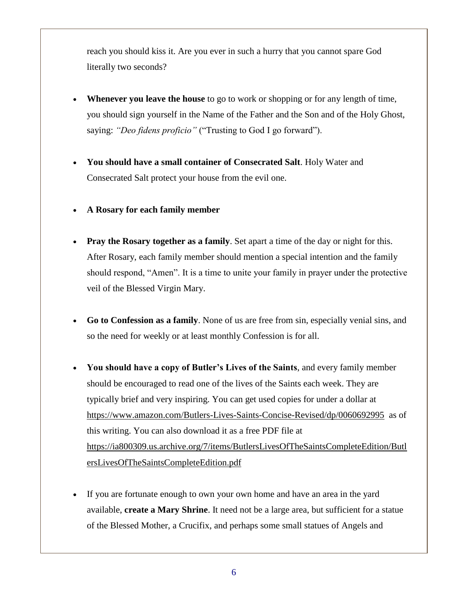reach you should kiss it. Are you ever in such a hurry that you cannot spare God literally two seconds?

- **Whenever you leave the house** to go to work or shopping or for any length of time, you should sign yourself in the Name of the Father and the Son and of the Holy Ghost, saying: *"Deo fidens proficio"* ("Trusting to God I go forward").
- **You should have a small container of Consecrated Salt**. Holy Water and Consecrated Salt protect your house from the evil one.
- **A Rosary for each family member**
- **Pray the Rosary together as a family**. Set apart a time of the day or night for this. After Rosary, each family member should mention a special intention and the family should respond, "Amen". It is a time to unite your family in prayer under the protective veil of the Blessed Virgin Mary.
- **Go to Confession as a family**. None of us are free from sin, especially venial sins, and so the need for weekly or at least monthly Confession is for all.
- **You should have a copy of Butler's Lives of the Saints**, and every family member should be encouraged to read one of the lives of the Saints each week. They are typically brief and very inspiring. You can get used copies for under a dollar at <https://www.amazon.com/Butlers-Lives-Saints-Concise-Revised/dp/0060692995> as of this writing. You can also download it as a free PDF file at [https://ia800309.us.archive.org/7/items/ButlersLivesOfTheSaintsCompleteEdition/Butl](https://ia800309.us.archive.org/7/items/ButlersLivesOfTheSaintsCompleteEdition/ButlersLivesOfTheSaintsCompleteEdition.pdf) [ersLivesOfTheSaintsCompleteEdition.pdf](https://ia800309.us.archive.org/7/items/ButlersLivesOfTheSaintsCompleteEdition/ButlersLivesOfTheSaintsCompleteEdition.pdf)
- If you are fortunate enough to own your own home and have an area in the yard available, **create a Mary Shrine**. It need not be a large area, but sufficient for a statue of the Blessed Mother, a Crucifix, and perhaps some small statues of Angels and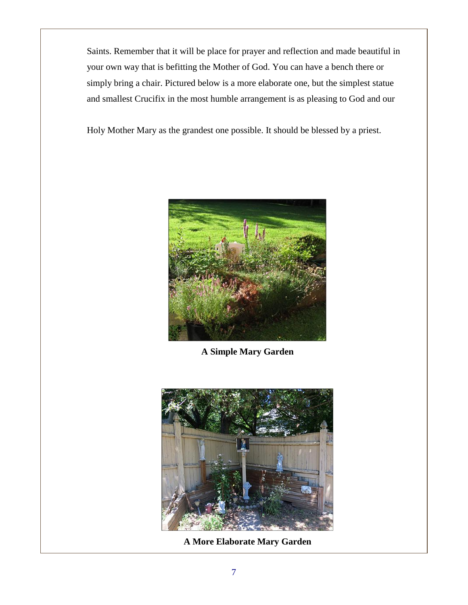Saints. Remember that it will be place for prayer and reflection and made beautiful in your own way that is befitting the Mother of God. You can have a bench there or simply bring a chair. Pictured below is a more elaborate one, but the simplest statue and smallest Crucifix in the most humble arrangement is as pleasing to God and our

Holy Mother Mary as the grandest one possible. It should be blessed by a priest.



**A Simple Mary Garden**



**A More Elaborate Mary Garden**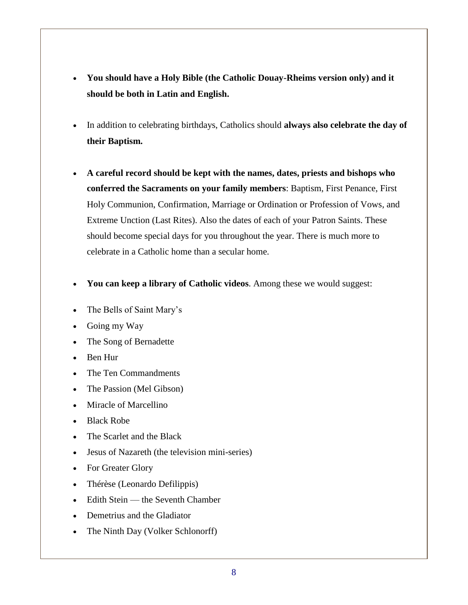- **You should have a Holy Bible (the Catholic Douay-Rheims version only) and it should be both in Latin and English.**
- In addition to celebrating birthdays, Catholics should **always also celebrate the day of their Baptism.**
- **A careful record should be kept with the names, dates, priests and bishops who conferred the Sacraments on your family members**: Baptism, First Penance, First Holy Communion, Confirmation, Marriage or Ordination or Profession of Vows, and Extreme Unction (Last Rites). Also the dates of each of your Patron Saints. These should become special days for you throughout the year. There is much more to celebrate in a Catholic home than a secular home.
- **You can keep a library of Catholic videos**. Among these we would suggest:
- The Bells of Saint Mary's
- Going my Way
- The Song of Bernadette
- Ben Hur
- The Ten Commandments
- The Passion (Mel Gibson)
- Miracle of Marcellino
- Black Robe
- The Scarlet and the Black
- Jesus of Nazareth (the television mini-series)
- For Greater Glory
- Thérèse (Leonardo Defilippis)
- Edith Stein the Seventh Chamber
- Demetrius and the Gladiator
- The Ninth Day (Volker Schlonorff)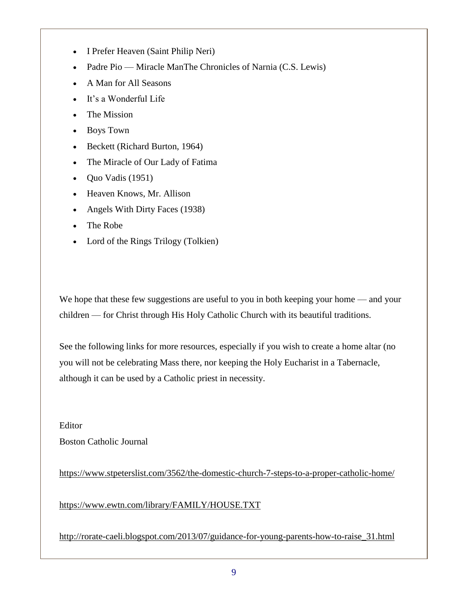- I Prefer Heaven (Saint Philip Neri)
- Padre Pio Miracle ManThe Chronicles of Narnia (C.S. Lewis)
- A Man for All Seasons
- It's a Wonderful Life
- The Mission
- Boys Town
- Beckett (Richard Burton, 1964)
- The Miracle of Our Lady of Fatima
- $\bullet$  Quo Vadis (1951)
- Heaven Knows, Mr. Allison
- Angels With Dirty Faces (1938)
- The Robe
- Lord of the Rings Trilogy (Tolkien)

We hope that these few suggestions are useful to you in both keeping your home — and your children — for Christ through His Holy Catholic Church with its beautiful traditions.

See the following links for more resources, especially if you wish to create a home altar (no you will not be celebrating Mass there, nor keeping the Holy Eucharist in a Tabernacle, although it can be used by a Catholic priest in necessity.

Editor

Boston Catholic Journal

<https://www.stpeterslist.com/3562/the-domestic-church-7-steps-to-a-proper-catholic-home/>

<https://www.ewtn.com/library/FAMILY/HOUSE.TXT>

[http://rorate-caeli.blogspot.com/2013/07/guidance-for-young-parents-how-to-raise\\_31.html](http://rorate-caeli.blogspot.com/2013/07/guidance-for-young-parents-how-to-raise_31.html)